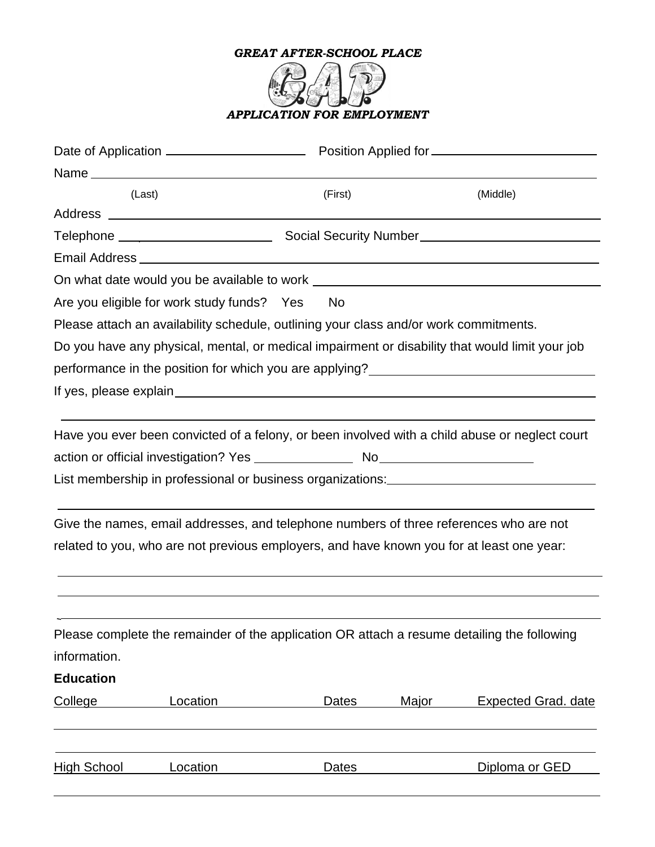

|                    | (Last)                                     | (First)                                                                                     | (Middle)                                                                                                                                                                                                           |
|--------------------|--------------------------------------------|---------------------------------------------------------------------------------------------|--------------------------------------------------------------------------------------------------------------------------------------------------------------------------------------------------------------------|
|                    |                                            |                                                                                             |                                                                                                                                                                                                                    |
|                    |                                            |                                                                                             |                                                                                                                                                                                                                    |
|                    |                                            |                                                                                             |                                                                                                                                                                                                                    |
|                    |                                            |                                                                                             |                                                                                                                                                                                                                    |
|                    | Are you eligible for work study funds? Yes | No                                                                                          |                                                                                                                                                                                                                    |
|                    |                                            | Please attach an availability schedule, outlining your class and/or work commitments.       |                                                                                                                                                                                                                    |
|                    |                                            |                                                                                             | Do you have any physical, mental, or medical impairment or disability that would limit your job                                                                                                                    |
|                    |                                            |                                                                                             | performance in the position for which you are applying?<br><u> and a physing</u> 2.1 matter and the position for which you are applying?<br><u>Letting</u> 2.1 matter and the position for which you are applying? |
|                    |                                            |                                                                                             |                                                                                                                                                                                                                    |
|                    |                                            |                                                                                             |                                                                                                                                                                                                                    |
|                    |                                            |                                                                                             | Have you ever been convicted of a felony, or been involved with a child abuse or neglect court                                                                                                                     |
|                    |                                            |                                                                                             |                                                                                                                                                                                                                    |
|                    |                                            |                                                                                             |                                                                                                                                                                                                                    |
|                    |                                            |                                                                                             |                                                                                                                                                                                                                    |
|                    |                                            | Give the names, email addresses, and telephone numbers of three references who are not      |                                                                                                                                                                                                                    |
|                    |                                            | related to you, who are not previous employers, and have known you for at least one year:   |                                                                                                                                                                                                                    |
|                    |                                            |                                                                                             |                                                                                                                                                                                                                    |
|                    |                                            |                                                                                             |                                                                                                                                                                                                                    |
|                    |                                            |                                                                                             |                                                                                                                                                                                                                    |
|                    |                                            | Please complete the remainder of the application OR attach a resume detailing the following |                                                                                                                                                                                                                    |
| information.       |                                            |                                                                                             |                                                                                                                                                                                                                    |
| <b>Education</b>   |                                            |                                                                                             |                                                                                                                                                                                                                    |
| College            | Location                                   | <b>Dates</b><br>Major                                                                       | <b>Expected Grad. date</b>                                                                                                                                                                                         |
|                    |                                            |                                                                                             |                                                                                                                                                                                                                    |
|                    |                                            |                                                                                             |                                                                                                                                                                                                                    |
| <u>High School</u> | Location                                   | Dates                                                                                       | Diploma or GED                                                                                                                                                                                                     |
|                    |                                            |                                                                                             |                                                                                                                                                                                                                    |